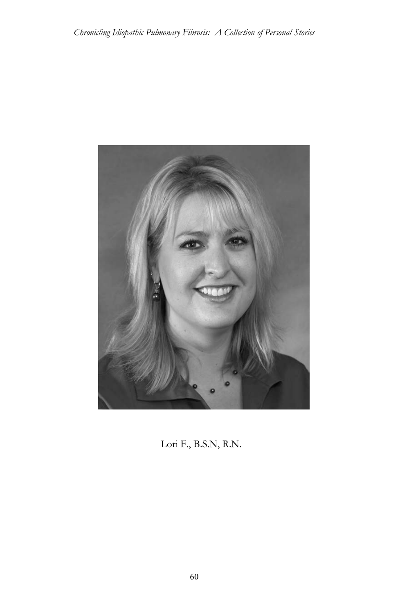

Lori F., B.S.N, R.N.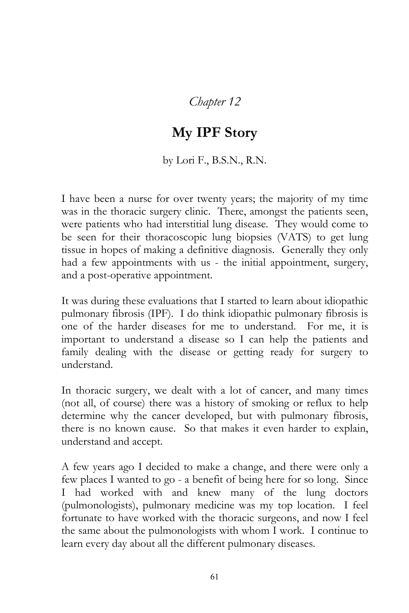*Chapter 12*

## **My IPF Story**

## by Lori F., B.S.N., R.N.

I have been a nurse for over twenty years; the majority of my time was in the thoracic surgery clinic. There, amongst the patients seen, were patients who had interstitial lung disease. They would come to be seen for their thoracoscopic lung biopsies (VATS) to get lung tissue in hopes of making a definitive diagnosis. Generally they only had a few appointments with us - the initial appointment, surgery, and a post-operative appointment.

It was during these evaluations that I started to learn about idiopathic pulmonary fibrosis (IPF). I do think idiopathic pulmonary fibrosis is one of the harder diseases for me to understand. For me, it is important to understand a disease so I can help the patients and family dealing with the disease or getting ready for surgery to understand.

In thoracic surgery, we dealt with a lot of cancer, and many times (not all, of course) there was a history of smoking or reflux to help determine why the cancer developed, but with pulmonary fibrosis, there is no known cause. So that makes it even harder to explain, understand and accept.

A few years ago I decided to make a change, and there were only a few places I wanted to go - a benefit of being here for so long. Since I had worked with and knew many of the lung doctors (pulmonologists), pulmonary medicine was my top location. I feel fortunate to have worked with the thoracic surgeons, and now I feel the same about the pulmonologists with whom I work. I continue to learn every day about all the different pulmonary diseases.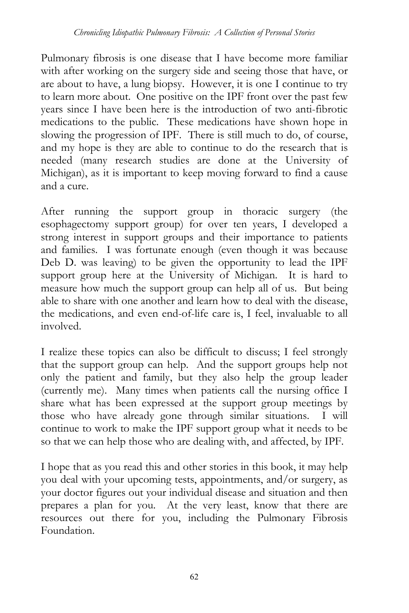Pulmonary fibrosis is one disease that I have become more familiar with after working on the surgery side and seeing those that have, or are about to have, a lung biopsy. However, it is one I continue to try to learn more about. One positive on the IPF front over the past few years since I have been here is the introduction of two anti-fibrotic medications to the public. These medications have shown hope in slowing the progression of IPF. There is still much to do, of course, and my hope is they are able to continue to do the research that is needed (many research studies are done at the University of Michigan), as it is important to keep moving forward to find a cause and a cure.

After running the support group in thoracic surgery (the esophagectomy support group) for over ten years, I developed a strong interest in support groups and their importance to patients and families. I was fortunate enough (even though it was because Deb D. was leaving) to be given the opportunity to lead the IPF support group here at the University of Michigan. It is hard to measure how much the support group can help all of us. But being able to share with one another and learn how to deal with the disease, the medications, and even end-of-life care is, I feel, invaluable to all involved.

I realize these topics can also be difficult to discuss; I feel strongly that the support group can help. And the support groups help not only the patient and family, but they also help the group leader (currently me). Many times when patients call the nursing office I share what has been expressed at the support group meetings by those who have already gone through similar situations. I will continue to work to make the IPF support group what it needs to be so that we can help those who are dealing with, and affected, by IPF.

I hope that as you read this and other stories in this book, it may help you deal with your upcoming tests, appointments, and/or surgery, as your doctor figures out your individual disease and situation and then prepares a plan for you. At the very least, know that there are resources out there for you, including the Pulmonary Fibrosis Foundation.